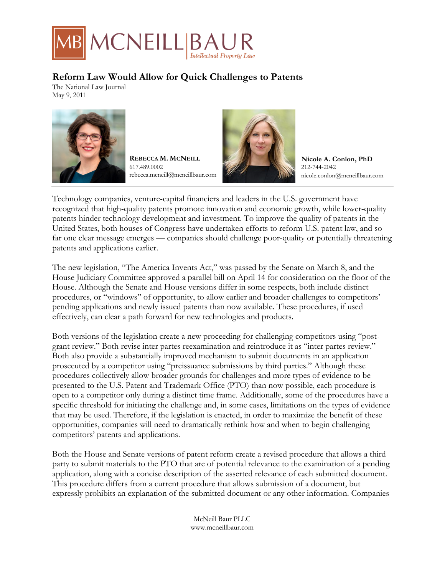

## **Reform Law Would Allow for Quick Challenges to Patents**

The National Law Journal May 9, 2011



**REBECCA M. MCNEILL** 617.489.0002 rebecca.mcneill@mcneillbaur.com



**Nicole A. Conlon, PhD** 212-744-2042 nicole.conlon@mcneillbaur.com

Technology companies, venture-capital financiers and leaders in the U.S. government have recognized that high-quality patents promote innovation and economic growth, while lower-quality patents hinder technology development and investment. To improve the quality of patents in the United States, both houses of Congress have undertaken efforts to reform U.S. patent law, and so far one clear message emerges — companies should challenge poor-quality or potentially threatening patents and applications earlier.

The new legislation, "The America Invents Act," was passed by the Senate on March 8, and the House Judiciary Committee approved a parallel bill on April 14 for consideration on the floor of the House. Although the Senate and House versions differ in some respects, both include distinct procedures, or "windows" of opportunity, to allow earlier and broader challenges to competitors' pending applications and newly issued patents than now available. These procedures, if used effectively, can clear a path forward for new technologies and products.

Both versions of the legislation create a new proceeding for challenging competitors using "postgrant review." Both revise inter partes reexamination and reintroduce it as "inter partes review." Both also provide a substantially improved mechanism to submit documents in an application prosecuted by a competitor using "preissuance submissions by third parties." Although these procedures collectively allow broader grounds for challenges and more types of evidence to be presented to the U.S. Patent and Trademark Office (PTO) than now possible, each procedure is open to a competitor only during a distinct time frame. Additionally, some of the procedures have a specific threshold for initiating the challenge and, in some cases, limitations on the types of evidence that may be used. Therefore, if the legislation is enacted, in order to maximize the benefit of these opportunities, companies will need to dramatically rethink how and when to begin challenging competitors' patents and applications.

Both the House and Senate versions of patent reform create a revised procedure that allows a third party to submit materials to the PTO that are of potential relevance to the examination of a pending application, along with a concise description of the asserted relevance of each submitted document. This procedure differs from a current procedure that allows submission of a document, but expressly prohibits an explanation of the submitted document or any other information. Companies

> McNeill Baur PLLC www.mcneillbaur.com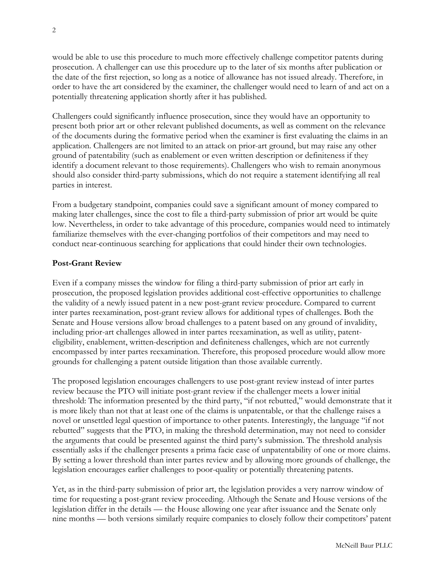would be able to use this procedure to much more effectively challenge competitor patents during prosecution. A challenger can use this procedure up to the later of six months after publication or the date of the first rejection, so long as a notice of allowance has not issued already. Therefore, in order to have the art considered by the examiner, the challenger would need to learn of and act on a potentially threatening application shortly after it has published.

Challengers could significantly influence prosecution, since they would have an opportunity to present both prior art or other relevant published documents, as well as comment on the relevance of the documents during the formative period when the examiner is first evaluating the claims in an application. Challengers are not limited to an attack on prior-art ground, but may raise any other ground of patentability (such as enablement or even written description or definiteness if they identify a document relevant to those requirements). Challengers who wish to remain anonymous should also consider third-party submissions, which do not require a statement identifying all real parties in interest.

From a budgetary standpoint, companies could save a significant amount of money compared to making later challenges, since the cost to file a third-party submission of prior art would be quite low. Nevertheless, in order to take advantage of this procedure, companies would need to intimately familiarize themselves with the ever-changing portfolios of their competitors and may need to conduct near-continuous searching for applications that could hinder their own technologies.

## **Post-Grant Review**

Even if a company misses the window for filing a third-party submission of prior art early in prosecution, the proposed legislation provides additional cost-effective opportunities to challenge the validity of a newly issued patent in a new post-grant review procedure. Compared to current inter partes reexamination, post-grant review allows for additional types of challenges. Both the Senate and House versions allow broad challenges to a patent based on any ground of invalidity, including prior-art challenges allowed in inter partes reexamination, as well as utility, patenteligibility, enablement, written-description and definiteness challenges, which are not currently encompassed by inter partes reexamination. Therefore, this proposed procedure would allow more grounds for challenging a patent outside litigation than those available currently.

The proposed legislation encourages challengers to use post-grant review instead of inter partes review because the PTO will initiate post-grant review if the challenger meets a lower initial threshold: The information presented by the third party, "if not rebutted," would demonstrate that it is more likely than not that at least one of the claims is unpatentable, or that the challenge raises a novel or unsettled legal question of importance to other patents. Interestingly, the language "if not rebutted" suggests that the PTO, in making the threshold determination, may not need to consider the arguments that could be presented against the third party's submission. The threshold analysis essentially asks if the challenger presents a prima facie case of unpatentability of one or more claims. By setting a lower threshold than inter partes review and by allowing more grounds of challenge, the legislation encourages earlier challenges to poor-quality or potentially threatening patents.

Yet, as in the third-party submission of prior art, the legislation provides a very narrow window of time for requesting a post-grant review proceeding. Although the Senate and House versions of the legislation differ in the details — the House allowing one year after issuance and the Senate only nine months — both versions similarly require companies to closely follow their competitors' patent